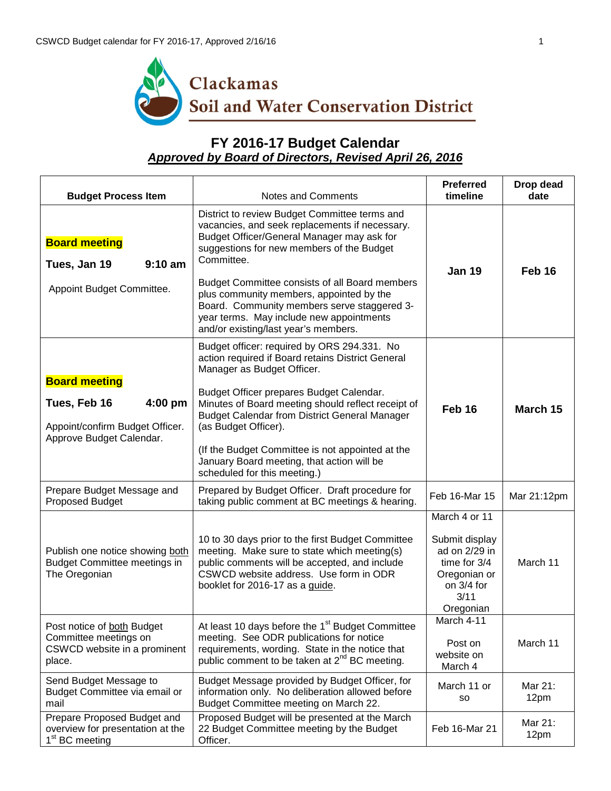

## **FY 2016-17 Budget Calendar** *Approved by Board of Directors, Revised April 26, 2016*

| <b>Budget Process Item</b>                                                                                     | Notes and Comments                                                                                                                                                                                                                                                                                                                                                                                                                                 | <b>Preferred</b><br>timeline                                                                                        | Drop dead<br>date |
|----------------------------------------------------------------------------------------------------------------|----------------------------------------------------------------------------------------------------------------------------------------------------------------------------------------------------------------------------------------------------------------------------------------------------------------------------------------------------------------------------------------------------------------------------------------------------|---------------------------------------------------------------------------------------------------------------------|-------------------|
| <b>Board meeting</b><br>Tues, Jan 19<br>$9:10$ am<br>Appoint Budget Committee.                                 | District to review Budget Committee terms and<br>vacancies, and seek replacements if necessary.<br>Budget Officer/General Manager may ask for<br>suggestions for new members of the Budget<br>Committee.<br>Budget Committee consists of all Board members<br>plus community members, appointed by the<br>Board. Community members serve staggered 3-<br>year terms. May include new appointments<br>and/or existing/last year's members.          | <b>Jan 19</b>                                                                                                       | Feb 16            |
| <b>Board meeting</b><br>4:00 pm<br>Tues, Feb 16<br>Appoint/confirm Budget Officer.<br>Approve Budget Calendar. | Budget officer: required by ORS 294.331. No<br>action required if Board retains District General<br>Manager as Budget Officer.<br>Budget Officer prepares Budget Calendar.<br>Minutes of Board meeting should reflect receipt of<br><b>Budget Calendar from District General Manager</b><br>(as Budget Officer).<br>(If the Budget Committee is not appointed at the<br>January Board meeting, that action will be<br>scheduled for this meeting.) | Feb 16                                                                                                              | March 15          |
| Prepare Budget Message and<br>Proposed Budget                                                                  | Prepared by Budget Officer. Draft procedure for<br>taking public comment at BC meetings & hearing.                                                                                                                                                                                                                                                                                                                                                 | Feb 16-Mar 15                                                                                                       | Mar 21:12pm       |
| Publish one notice showing both<br><b>Budget Committee meetings in</b><br>The Oregonian                        | 10 to 30 days prior to the first Budget Committee<br>meeting. Make sure to state which meeting(s)<br>public comments will be accepted, and include<br>CSWCD website address. Use form in ODR<br>booklet for 2016-17 as a guide.                                                                                                                                                                                                                    | March 4 or 11<br>Submit display<br>ad on 2/29 in<br>time for 3/4<br>Oregonian or<br>on 3/4 for<br>3/11<br>Oregonian | March 11          |
| Post notice of both Budget<br>Committee meetings on<br>CSWCD website in a prominent<br>place.                  | At least 10 days before the 1 <sup>st</sup> Budget Committee<br>meeting. See ODR publications for notice<br>requirements, wording. State in the notice that<br>public comment to be taken at 2 <sup>nd</sup> BC meeting.                                                                                                                                                                                                                           | March 4-11<br>Post on<br>website on<br>March 4                                                                      | March 11          |
| Send Budget Message to<br>Budget Committee via email or<br>mail                                                | Budget Message provided by Budget Officer, for<br>information only. No deliberation allowed before<br>Budget Committee meeting on March 22.                                                                                                                                                                                                                                                                                                        | March 11 or<br>so                                                                                                   | Mar 21:<br>12pm   |
| Prepare Proposed Budget and<br>overview for presentation at the<br>1 <sup>st</sup> BC meeting                  | Proposed Budget will be presented at the March<br>22 Budget Committee meeting by the Budget<br>Officer.                                                                                                                                                                                                                                                                                                                                            | Feb 16-Mar 21                                                                                                       | Mar 21:<br>12pm   |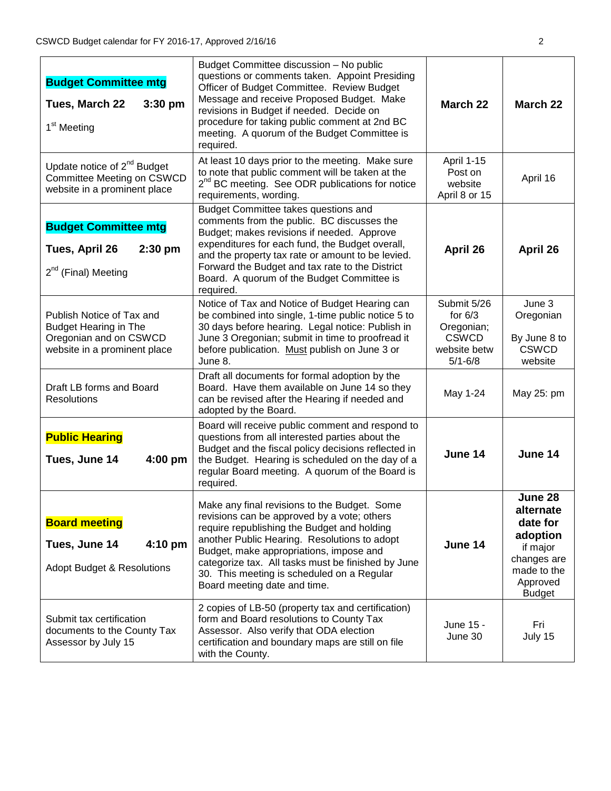| <b>Budget Committee mtg</b><br>Tues, March 22<br>3:30 pm<br>1 <sup>st</sup> Meeting                                 | Budget Committee discussion - No public<br>questions or comments taken. Appoint Presiding<br>Officer of Budget Committee. Review Budget<br>Message and receive Proposed Budget. Make<br>revisions in Budget if needed. Decide on<br>procedure for taking public comment at 2nd BC<br>meeting. A quorum of the Budget Committee is<br>required.                            | March 22                                                                              | March 22                                                                                                            |
|---------------------------------------------------------------------------------------------------------------------|---------------------------------------------------------------------------------------------------------------------------------------------------------------------------------------------------------------------------------------------------------------------------------------------------------------------------------------------------------------------------|---------------------------------------------------------------------------------------|---------------------------------------------------------------------------------------------------------------------|
| Update notice of $2^{nd}$ Budget<br>Committee Meeting on CSWCD<br>website in a prominent place                      | At least 10 days prior to the meeting. Make sure<br>to note that public comment will be taken at the<br>2 <sup>nd</sup> BC meeting. See ODR publications for notice<br>requirements, wording.                                                                                                                                                                             | April 1-15<br>Post on<br>website<br>April 8 or 15                                     | April 16                                                                                                            |
| <b>Budget Committee mtg</b><br>$2:30$ pm<br>Tues, April 26<br>2 <sup>nd</sup> (Final) Meeting                       | Budget Committee takes questions and<br>comments from the public. BC discusses the<br>Budget; makes revisions if needed. Approve<br>expenditures for each fund, the Budget overall,<br>and the property tax rate or amount to be levied.<br>Forward the Budget and tax rate to the District<br>Board. A quorum of the Budget Committee is<br>required.                    | April 26                                                                              | April 26                                                                                                            |
| Publish Notice of Tax and<br><b>Budget Hearing in The</b><br>Oregonian and on CSWCD<br>website in a prominent place | Notice of Tax and Notice of Budget Hearing can<br>be combined into single, 1-time public notice 5 to<br>30 days before hearing. Legal notice: Publish in<br>June 3 Oregonian; submit in time to proofread it<br>before publication. Must publish on June 3 or<br>June 8.                                                                                                  | Submit 5/26<br>for $6/3$<br>Oregonian;<br><b>CSWCD</b><br>website betw<br>$5/1 - 6/8$ | June 3<br>Oregonian<br>By June 8 to<br><b>CSWCD</b><br>website                                                      |
| Draft LB forms and Board<br><b>Resolutions</b>                                                                      | Draft all documents for formal adoption by the<br>Board. Have them available on June 14 so they<br>can be revised after the Hearing if needed and<br>adopted by the Board.                                                                                                                                                                                                | May 1-24                                                                              | May 25: pm                                                                                                          |
| <b>Public Hearing</b><br>4:00 pm<br>Tues, June 14                                                                   | Board will receive public comment and respond to<br>questions from all interested parties about the<br>Budget and the fiscal policy decisions reflected in<br>the Budget. Hearing is scheduled on the day of a<br>regular Board meeting. A quorum of the Board is<br>required.                                                                                            | June 14                                                                               | June 14                                                                                                             |
| <b>Board meeting</b><br>Tues, June 14<br>$4:10 \text{ pm}$<br><b>Adopt Budget &amp; Resolutions</b>                 | Make any final revisions to the Budget. Some<br>revisions can be approved by a vote; others<br>require republishing the Budget and holding<br>another Public Hearing. Resolutions to adopt<br>Budget, make appropriations, impose and<br>categorize tax. All tasks must be finished by June<br>30. This meeting is scheduled on a Regular<br>Board meeting date and time. | June 14                                                                               | June 28<br>alternate<br>date for<br>adoption<br>if major<br>changes are<br>made to the<br>Approved<br><b>Budget</b> |
| Submit tax certification<br>documents to the County Tax<br>Assessor by July 15                                      | 2 copies of LB-50 (property tax and certification)<br>form and Board resolutions to County Tax<br>Assessor. Also verify that ODA election<br>certification and boundary maps are still on file<br>with the County.                                                                                                                                                        | June 15 -<br>June 30                                                                  | Fri<br>July 15                                                                                                      |